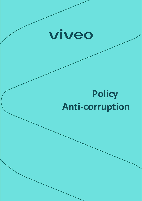

# **Policy Anti-corruption**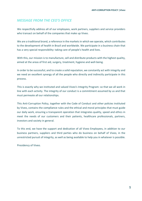# *MESSAGE FROM THE CEO'S OFFICE*

We respectfully address all of our employees, work partners, suppliers and service providers who transact on behalf of the companies that make up Viveo.

We are a traditional brand, a reference in the markets in which we operate, which contributes to the development of health in Brazil and worldwide. We participate in a business chain that has a very special responsibility: taking care of people's health and lives.

With this, our mission is to manufacture, sell and distribute products with the highest quality, aimed at the areas of first aid, surgery, treatment, hygiene and well-being.

In order to be successful, and to create a solid reputation, we constantly act with integrity and we need an excellent synergy of all the people who directly and indirectly participate in this process.

This is exactly why we instituted and valued Viveo's Integrity Program: so that we all work in line with each activity. The integrity of our conduct is a commitment assumed by us and that must permeate all our relationships.

This Anti-Corruption Policy, together with the Code of Conduct and other policies instituted by Viveo, contains the compliance rules and the ethical and moral principles that must guide our daily work, ensuring a transparent operation that integrates quality, speed and ethics in meet the needs of our customers and their patients, healthcare professionals, partners, investors and society in general.

To this end, we have the support and dedication of all Viveo Employees, in addition to our business partners, suppliers and third parties who do business on behalf of Viveo, in the unrestricted pursuit of integrity, as well as being available to help you in whatever is possible.

Presidency of Viveo.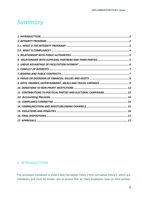# *Summary*

| 11. CONTRIBUTIONS TO POLITICAL PARTIES AND ELECTORAL CAMPAIGNS 13 |  |
|-------------------------------------------------------------------|--|
|                                                                   |  |
|                                                                   |  |
|                                                                   |  |
|                                                                   |  |
|                                                                   |  |
|                                                                   |  |

# <span id="page-2-0"></span>*1. INTRODUCTTION*

The provisions contained in Viveo's Anti-Corruption Policy ("Anti-Corruption Policy"), which are mandatory and must be known, aim to ensure that all Viveo Employees (own or third parties)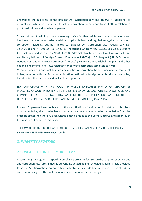understand the guidelines of the Brazilian Anti-Corruption Law and observe its guidelines to prevent and fight situations prone to acts of corruption, bribery and fraud, both in relation to public institutions and private companies.

This Anti-Corruption Policy is complementary to Viveo's other policies and procedures in force and has been prepared in accordance with all applicable laws and regulations against bribery and corruption, including, but not limited to: Brazilian Anti-Corruption Law (Federal Law No. 12,846/13) and its Decree No. 8.420/15; Antitrust Law (Law No. 12,529/11); Administrative Contracts and Bidding Law (Law No. 8,666/93); Administrative Misconduct Law (Law No. 8,249/92) and its regulations, US Foreign Corrupt Practices Act (FCPA); UK Bribery Act ("UKBA"); United Nations Convention against Corruption ("UNCAC"); United Nations Global Compact and other national and international laws relating to bribery and corruption applicable to Viveo.

Viveo prohibits and does not tolerate any practice of corruption, bribery, payment or receipt of bribes, whether with the Public Administration, national or foreign, or with private companies, based on Brazilian and international anti-corruption law.

NON-COMPLIANCE WITH THIS POLICY BY VIVEO'S EMPLOYEES MAY APPLY DISCIPLINARY MEASURES AND/OR APPROPRIATE PENALTIES, BASED ON VIVEO'S POLICIES, LABOR, CIVIL AND CRIMINAL LEGISLATION, INCLUDING ANTI-CORRUPTION LEGISLATION, ANTI-CORRUPTION LEGISLATION FIGHTING CORRUPTION AND MONEY LAUNDERING, AS APPLICABLE.

If Viveo Employees have doubts as to the classification of a situation in relation to this Anti-Corruption Policy, that is, whether or not a certain conduct characterizes a deviation from the precepts established therein, a consultation may be made to the Compliance Committee through the indicated channels in this Policy

THE LAW APPLICABLE TO THE ANTI-CORRUPTION POLICY CAN BE ACCESSED ON THE PAGES FROM THE INTERNET: www.viveo.com.br

# <span id="page-3-0"></span>*2. INTEGRITY PROGRAM*

# <span id="page-3-1"></span>**2.1. WHAT IS THE INTEGRITY PROGRAM?**

Viveo's Integrity Program is a specific compliance program, focused on the adoption of ethical and anti-corruption measures aimed at preventing, detecting and remediating harmful acts provided for in the Anti-Corruption Law and other applicable laws, in addition to the occurrence of bribery and also fraud against the public administration, national and/or foreign.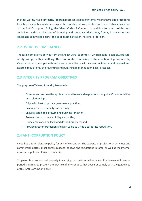In other words, Viveo's Integrity Program represents a set of internal mechanisms and procedures for integrity, auditing and encouraging the reporting of irregularities and the effective application of the Anti-Corruption Policy, the Viveo Code of Conduct, in addition to other policies and guidelines, with the objective of detecting and remedying deviations, frauds, irregularities and illegal acts committed against the public administration, national or foreign.

# <span id="page-4-0"></span>**2.2. WHAT IS COMPLIANCE?**

The term compliance derives from the English verb "to comply", which means to comply, execute, satisfy, comply with something. Thus, corporate compliance is the adoption of procedures by Viveo in order to comply with and ensure compliance with current legislation and internal and external regulations, by preventing and punishing misconduct or illegal practices.

# **2.3 INTEGRITY PROGRAM OBJECTIVES**

The purpose of Viveo's Integrity Program is:

- Observe and enforce the application of all rules and regulations that guide Viveo's activities and relationships;
- Align with best corporate governance practices;
- Ensure greater reliability and security;
- Ensure sustainable growth and business longevity;
- Prevent the occurrence of illegal activities;
- Guide employees on legal and desired practices; and
- Provide greater protection and gain value to Viveo's corporate reputation.

# **2.4 ANTI-CORRUPTION POLICY**

Viveo has a zero tolerance policy for acts of corruption. The exercise of professional activities and commercial matters must always respect the laws and regulations in force, as well as the internal norms and policies of Viveo companies.

To guarantee professional honesty in carrying out their activities, Viveo Employees will receive periodic training to prevent the practice of any conduct that does not comply with the guidelines of this Anti-Corruption Policy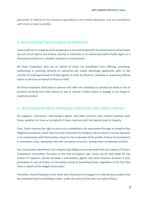personnel, in addition to the sanctions applicable by and related legislation, and non-compliance with Viveo is liable to liability.

# <span id="page-5-0"></span>*3. RELATIONSHIP WITH PUBLIC AUTHORITIES*

Viveo reaffirms its integrity and transparency in its relationship with the Government and prohibits any acts of corruption and bribery, directly or indirectly, in its relationship with a Public Agent or a third party related to it, whether national or transnational.

All Viveo Employees who act on behalf of Viveo are prohibited from offering, promising, authorizing or receiving (directly or indirectly) any undue advantage (payments, gifts or the transfer of anything of value) to Public Agents, in order to influence , facilitate or reward any official action or decision on behalf of Viveo or itself.

No Viveo Employee, third party or partner will suffer any retaliation or penalty for delay or loss of business resulting from their refusal to pay or receive a bribe and/or to engage in any illegal or unethical conduct.

# <span id="page-5-1"></span>*4. RELATIONSHIP WITH SUPPLIERS, PARTNERS AND THIRD PARTIES*

All suppliers, contractors, intermediary agents and other partners who conduct business with Viveo, whether for Viveo or on behalf of Viveo, must act with the highest level of integrity.

Thus, Viveo reserves the right to carry out a compliance risk assessment through an integrity due diligence procedure, which aims to know and assess the integrity risks to which it may be exposed, in its relationships with third parties, based on the evaluation of the profile, history of involvement in corruption cases, reputation and anti-corruption practices, among other compliance criteria.

Any risk situation identified in the integrity due diligence must be dealt with the support of Viveo's Compliance Committee. Pursuant to the Anti-Corruption Law, Viveo can be held liable for the actions of suppliers, service providers, intermediary agents and other business partners if they participate in acts of bribery or corruption aimed at benefiting Viveo, regardless of the fact that Viveo is aware of the alleged misconduct.

Therefore, Viveo Employees must never ask a third party to engage in or tolerate any conduct that the employee itself is prohibited under, under the terms of this Anti-Corruption Policy.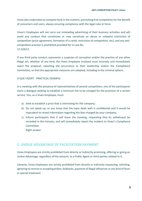Viveo also undertakes to compete fairly in the markets, promoting free competition for the benefit of consumers and users, always ensuring compliance with the legal rules in force.

Viveo's Employees will not carry out misleading advertising of their business activities and will avoid any conduct that constitutes or may constitute an abuse or unlawful restriction of competition (price agreement, formation of a cartel, restriction of competition, etc), and any anticompetitive practice is prohibited provided for in Law No. 12.529/11.

If any third party conduct represents a suspicion of corruption and/or the practice of any other illegal act, whether of any kind, the Viveo Employee involved must incisively and immediately reject the proposal, reporting the occurrence to their leadership and/or the Compliance Committee, so that the appropriate measures are adopted, including in the criminal sphere.

#### O QUE FAZER? - PRACTICAL EXAMPLE

In a meeting with the presence of representatives of several competitors, one of the participants starts a dialogue seeking to establish a minimum fee to be charged for the provision of a certain service. You, as a Viveo Employee, must:

- a) Seek to establish a price that is interesting for the company;
- b) Do not speak up, as you know that the topic dealt with is confidential and it would be imprudent to reveal information regarding the fees charged by your company;
- c) Inform participants that it will leave the meeting, requesting that its withdrawal be recorded in the minutes, and will immediately report the incident to Viveo's Compliance Committee.

Right answer

# <span id="page-6-0"></span>*5. UNDUE ADVANTAGE OF FACILITATION PAYMENT*

Viveo Employees are strictly prohibited from directly or indirectly promising, offering or giving an Undue Advantage, regardless of the amount, to a Public Agent or third parties related to it.

Likewise, Viveo Employees are strictly prohibited from directly or indirectly requesting, soliciting, agreeing to receive or accepting bribes, kickbacks, payment of illegal influences or any kind of favor or special treatment.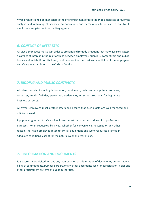Viveo prohibits and does not tolerate the offer or payment of facilitation to accelerate or favor the analysis and obtaining of licenses, authorizations and permissions to be carried out by its employees, suppliers or intermediary agents.

#### <span id="page-7-0"></span>*6. CONFLICT OF INTERESTS*

All Viveo Employees must act in order to prevent and remedy situations that may cause or suggest a conflict of interest in the relationships between employees, suppliers, competitors and public bodies and which, if not disclosed, could undermine the trust and credibility of the employees and Viveo, as established in the Code of Conduct.

# <span id="page-7-1"></span>*7. BIDDING AND PUBLIC CONTRACTS*

All Viveo assets, including information, equipment, vehicles, computers, software, resources, funds, facilities, personnel, trademarks, must be used only for legitimate business purposes.

All Viveo Employees must protect assets and ensure that such assets are well managed and efficiently used.

Equipment granted to Viveo Employees must be used exclusively for professional purposes. When requested by Viveo, whether for convenience, necessity or any other reason, the Viveo Employee must return all equipment and work resources granted in adequate conditions, except for the natural wear and tear of use.

# **7.1 INFORMATION AND DOCUMENTS**

It is expressly prohibited to have any manipulation or adulteration of documents, authorizations, filling of commitments, purchase orders, or any other documents used for participation in bids and other procurement systems of public authorities.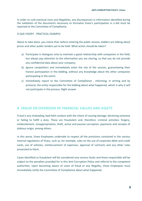In order to curb eventual vices and illegalities, any discrepancies in information identified during the validation of the documents necessary to formalize Viveo's participation in a bid must be reported to the Committee of Compliance .

#### O QUE FAZER? - PRACTICAL EXAMPLE

About to take place, you notice that, before entering the public session, bidders are talking about prices and other public tenders yet to be held. What action should be taken?

- a) Participate in dialogues only to maintain a good relationship with companies in the field, but always pay attention to the information you are sharing, so that you do not provide any confidential data about your company;
- b) Ignore competitors and immediately enter the site of the session, guaranteeing their honest participation in the bidding, without any knowledge about the other companies participating in the event;
- c) Immediately report to the Committee of Compliance , informing, in writing and by protocol, the entity responsible for the bidding about what happened, which is why it will not participate in the process. Right answer

# <span id="page-8-0"></span>*8. FRAUD OR DIVERSION OF FINANCIAL VALUES AND ASSETS*

Fraud is any misleading, bad-faith conduct with the intent of causing damage, deceiving someone or failing to fulfill a duty. These are fraudulent and, therefore, criminal activities: forgery, embezzlement, misappropriation, theft, active and passive corruption, payments and receipts of dubious origin, among others.

In this sense, Viveo Employees undertake to respect all the provisions contained in the various internal regulations of Viveo, such as, for example, rules on the use of corporate debit and credit cards, use of vehicles, reimbursement of expenses, approval of contracts and any other rules presented to them.

Cases identified as fraudulent will be considered very serious faults and those responsible will be subject to the penalties provided for in this Anti-Corruption Policy and referral to the competent authorities. Upon becoming aware of cases of fraud or any illegality, Viveo Employees must immediately notify the Committee of Compliance about what happened.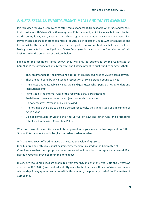# <span id="page-9-0"></span>*9. GIFTS, FREEBIES, ENTERTAINMENT,* **MEALS AND** *TRAVEL EXPENSES*

It is forbidden for Viveo Employees to offer, request or accept, from people who trade and/or seek to do business with Viveo, Gifts, Giveaways and Entertainment, which includes, but is not limited to, discounts, loans, cash, vouchers, vouchers , guarantees, favors, advantages, sponsorships, travel, meals, expenses or other commercial courtesies, in excess of BRL 150.00 (one hundred and fifty reais), for the benefit of oneself and/or third parties and/or in situations that may result in a feeling or expectation of obligation to Viveo Employees in relation to the formalization of said business, with the exception of the item below.

Subject to the conditions listed below, they will only be authorized by the Committee of Compliance the offering of Gifts, Giveaways and Entertainment to public bodies or agents that:

- They are intended for legitimate and appropriate purposes, linked to Viveo's core activities.
- They are not bound by any intended retribution or consideration bound to Viveo;
- Are limited and reasonable in value, type and quantity, such as pens, diaries, calendars and institutional gifts;
- Permitted by the internal rules of the receiving party's organization;
- Be delivered openly to the recipient (and not in a hidden way)
- Do not embarrass Viveo if publicly disclosed;
- Are not made available to a single person repeatedly, thus understood as a maximum of twice a year;
- Do not contravene or violate the Anti-Corruption Law and other rules and procedures established in this Anti-Corruption Policy

Wherever possible, Viveo Gifts should be engraved with your name and/or logo and no Gifts, Gifts or Entertainment should be given in cash or cash equivalents.

Gifts and Giveaways offered to Viveo that exceed the value of R\$150.00 (one hundred and fifty reais) must be immediately communicated to the Committee of Compliance so that the appropriate measures are taken in relation to acceptance or refusal (if it fits the hypothesis provided for in the item above).

Likewise, Viveo's Employees are prohibited from offering, on behalf of Viveo, Gifts and Giveaways in excess of R\$150.00 (one hundred and fifty reais) to third parties with whom Viveo maintains a relationship, in any sphere , and even within this amount, the prior approval of the Committee of Compliance .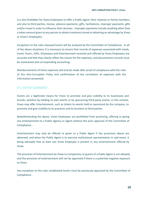It is also forbidden for Viveo Employees to offer a Public Agent, their relatives or family members, and also to third parties, money, advance payments, gifts, facilitations, improper payments, gifts and/or travel in order to influence their decision . Improper payments include anything other than a token amount given to any person to obtain treatment aimed at obtaining an advantage by Viveo or Viveo's Employees.

Exceptions to the rules imposed herein will be analyzed by the Committee of Compliance . In all of the above situations, it is necessary to ensure that records of expenses associated with meals, travel, favors, Gifts, Giveaways and Entertainment received and offered by Viveo Employees are accurate and that they clearly reflect the reason for the expenses, and documentary records must be maintained and corresponding accounting.

Reimbursements of these expenses will only be made after proof of compliance with the rules of this Anti-Corruption Policy and confirmation of the correlation of expenses with the information presented.

#### 9.1 ENTERTAINMENT

Events are a legitimate means for Viveo to promote and give visibility to its businesses and brands, whether by holding its own events or by sponsoring third-party events. In this context, Viveo may offer Entertainment, such as tickets to events held or sponsored by the company, to promote and give visibility to its practices and its business to third parties.

Notwithstanding the above, Viveo Employees are prohibited from promising, offering or giving any entertainment to a Public Agency or Agent without the prior approval of the Committee of Compliance .

Entertainment may only be offered or given to a Public Agent if the provisions above are observed, and when the Public Agent is to exercise institutional representation in said event, it being advisable that at least one Viveo Employee is present in any entertainment offered by Viveo.

The provision of Entertainment by Viveo to companions or guests of a Public Agent is not allowed, and the provision of entertainment will not be approved if there is a potential negative exposure to Viveo.

Any exception to the rules established herein must be previously approved by the Committee of Compliance .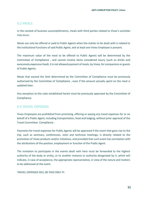# 9.2 MEALS

In the context of business accomplishments, meals with third parties related to Viveo's activities may occur.

Meals can only be offered or paid to Public Agents when the matter to be dealt with is related to the institutional functions of said Public Agent, and at least one Viveo Employee is present.

The maximum value of the meal to be offered to Public Agents will be determined by the Committee of Compliance , and cannot involve items considered luxury (such as drinks and excessively expensive food). It is not allowed payment of meals, by Viveo, for companions or guests of Public Agents.

Meals that exceed the limit determined by the Committee of Compliance must be previously authorized by the Committee of Compliance , even if the amount actually spent on the meal is updated later.

Any exception to the rules established herein must be previously approved by the Committee of Compliance.

# 9.3 TRAVEL EXPENSES

Viveo Employees are prohibited from promising, offering or paying any travel expenses for or on behalf of a Public Agent, including transportation, food and lodging, without prior approval of the Travel Committee. Compliance .

Payments for travel expenses for Public Agents will be approved if the event that gave rise to the trip, such as seminars, conferences, visits and technical meetings, is directly related to the promotion of Viveo products and/or initiatives, and provided that such event has correlation with the attributions of the position, employment or function of the Public Agent.

The invitation to participate in the events dealt with here must be forwarded to the highest authority of the body or entity, or to another instance or authority designated by it, which will indicate, in case of acceptance, the appropriate representative, in view of the nature and matters to be addressed at the event.

TRAVEL EXPENSES WILL BE PAID ONLY IF: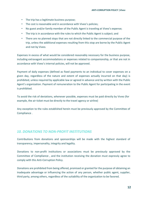- The trip has a legitimate business purpose;
- The cost is reasonable and in accordance with Viveo's policies;
- No guest and/or family member of the Public Agent is traveling at Viveo's expense;
- The trip is in accordance with the rules to which the Public Agent is subject; and
- There are no planned stops that are not directly linked to the commercial purpose of the trip, unless the additional expenses resulting from this stop are borne by the Public Agent and not by Viveo.

Expenses in excess of what would be considered reasonably necessary for the business purpose, including extravagant accommodations or expenses related to companionship, or that are not in accordance with Viveo's internal policies, will not be approved.

Payment of daily expenses (defined as fixed payments to an individual to cover expenses on a given day, regardless of the nature and extent of expenses actually incurred on that day) is prohibited, unless required by applicable law or agreed in advance and by written with the Public Agent's organization. Payment of remuneration to the Public Agent for participating in the event is prohibited.

To avoid the risk of deviations, whenever possible, expenses must be paid directly by Viveo (for example, the air ticket must be directly to the travel agency or airline)

Any exception to the rules established herein must be previously approved by the Committee of Compliance .

# <span id="page-12-0"></span>*10. DONATIONS TO NON-PROFIT INSTITUTIONS*

Contributions from donations and sponsorships will be made with the highest standard of transparency, impersonality, integrity and legality.

Donations to non-profit institutions or associations must be previously approved by the Committee of Compliance , and the institution receiving the donation must expressly agree to comply with this Anti-Corruption Policy.

Donations are prohibited from being offered, promised or granted for the purpose of obtaining an inadequate advantage or influencing the action of any person, whether public agent, supplier, third party, among others, regardless of the suitability of the organization to be favored.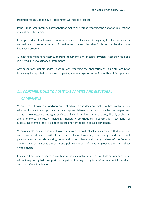Donation requests made by a Public Agent will not be accepted.

If the Public Agent promises any benefit or makes any threat regarding the donation request, the request must be denied.

It is up to Viveo Employees to monitor donations. Such monitoring may involve requests for audited financial statements or confirmation from the recipient that funds donated by Viveo have been used properly.

All expenses must have their supporting documentation (receipts, invoices, etc) duly filed and registered in Viveo's financial statements.

Any exceptions, doubts and/or clarifications regarding the application of this Anti-Corruption Policy may be reported to the direct superior, area manager or to the Committee of Compliance .

# <span id="page-13-0"></span>*11. CONTRIBUTIONS TO POLITICAL PARTIES AND ELECTORAL*

#### *CAMPAIGNS*

Viveo does not engage in partisan political activities and does not make political contributions, whether to candidates, political parties, representatives of parties or similar campaigns, and donations to electoral campaigns, by Viveo or by individuals on behalf of Viveo, directly or directly, are prohibited. indirectly, including monetary contributions, sponsorships, payment for fundraising events or the like, either before or after the close of such campaigns.

Viveo respects the participation of Viveo Employees in political activities, provided that donations and/or contributions to political parties and electoral campaigns are always made in a strict personal nature, outside working hours and in compliance with the guidelines of the Code of Conduct, it is certain that the party and political support of Viveo Employees does not reflect Viveo's choice.

If a Viveo Employee engages in any type of political activity, he/she must do so independently, without requesting help, support, participation, funding or any type of involvement from Viveo and other Viveo Employees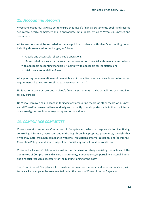# <span id="page-14-0"></span>*12. Accounting Records.*

Viveo Employees must always act to ensure that Viveo's financial statements, books and records accurately, clearly, completely and in appropriate detail represent all of Viveo's businesses and operations.

All transactions must be recorded and managed in accordance with Viveo's accounting policy, including those related to the budget, as follows:

- Clearly and accurately reflect Viveo's operations;
- Be recorded in a way that allows the preparation of Financial statements in accordance with applicable accounting standards; • Comply with applicable tax legislation; and
- Maintain accountability of assets.

All supporting documentation must be maintained in compliance with applicable record retention requirements (i.e. invoices, receipts, expense vouchers, etc.).

No funds or assets not recorded in Viveo's financial statements may be established or maintained for any purpose.

No Viveo Employee shall engage in falsifying any accounting record or other record of business, and all Viveo Employees shall respond fully and correctly to any inquiries made to them by internal or external group auditors or regulatory authority auditors.

# <span id="page-14-1"></span>*13. COMPLIANCE COMMITTEE*

Viveo maintains an active Committee of Compliance , which is responsible for identifying, controlling, informing, instructing and mitigating, through appropriate procedures, the risks that Viveo may suffer from non-compliance with laws, regulations, internal guidelines and/or this Anti-Corruption Policy, in addition to inspect and punish any and all violations of its terms.

Viveo and all Viveo Collaborators must act in the sense of always assisting the actions of the Committee of Compliance and ensure its autonomy, independence, impartiality, material, human and financial resources necessary for the full functioning of the body.

The Committee of Compliance It is made up of members internal and external to Viveo, with technical knowledge in the area, elected under the terms of Viveo's Internal Regulations.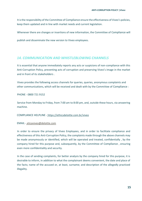It is the responsibility of the Committee of Compliance ensure the effectiveness of Viveo's policies, keep them updated and in line with market needs and current legislation.

Whenever there are changes or insertions of new information, the Committee of Compliance will

publish and disseminate the new version to Viveo employees.

# <span id="page-15-0"></span>*14. COMMUNICATION AND WHISTLEBLOWING CHANNELS*

It is essential that anyone immediately reports any acts or suspicions of non-compliance with this Anti-Corruption Policy, preventing acts of corruption and preserving Viveo's image in the market and in front of its stakeholders .

Viveo provides the following access channels for queries, queries, anonymous complaints and other communications, which will be received and dealt with by the Committee of Compliance :

PHONE - 0800 721 9152

Service from Monday to Friday, from 7:00 am to 8:00 pm, and, outside these hours, via answering machine.

COMPLIANCE HELPLINE - <https://ethicsdeloitte.com.br/viveo>

EMAIL - eticaviveo@deloitte.com

In order to ensure the privacy of Viveo Employees, and in order to facilitate compliance and effectiveness of this Anti-Corruption Policy, the complaints made through the above channels may be made anonymously or identified, which will be operated and treated, confidentially , by the company hired for this purpose and, subsequently, by the Committee of Compliance , ensuring even more confidentiality and security.

In the case of sending complaints, for better analysis by the company hired for this purpose, it is desirable to inform, in addition to what the complainant deems convenient, the date and place of the facts; name of the accused or, at least, surname; and description of the allegedly practiced illegality.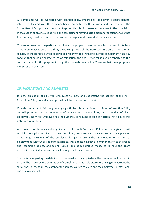All complaints will be evaluated with confidentiality, impartiality, objectivity, reasonableness, integrity and speed, with the company being contracted for this purpose and, subsequently, the Committee of Compliance committed to promptly submit a reasoned response to the complaint. In the case of anonymous reporting, the complainant may indicate email and/or telephone so that the company hired for this purpose can send a response at the end of the calculation.

Viveo reinforces that the participation of Viveo Employees to ensure the effectiveness of this Anti-Corruption Policy is essential. Thus, Viveo will provide all the necessary instruments for the full security of the identified whistleblower against any type of retaliation. If the complainant finds any conduct that could be characterized as retaliation, the occurrence must also be reported to the company hired for this purpose, through the channels provided by Viveo, so that the appropriate measures can be taken.

# <span id="page-16-0"></span>*15. VIOLATIONS AND PENALTIES*

It is the obligation of all Viveo Employees to know and understand the content of this Anti-Corruption Policy, as well as comply with all the rules set forth herein.

Viveo is committed to faithfully complying with the rules established in this Anti-Corruption Policy and will promote constant monitoring of its business activity and any and all conduct of Viveo Employees. No Viveo Employee has the authority to request or take any action that violates this Anti-Corruption Policy.

Any violation of the rules and/or guidelines of this Anti-Corruption Policy and the legislation will result in the application of appropriate disciplinary measures, and may even lead to the application of warnings, dismissal of the employee for just cause and/or immediate termination of employment, without prejudice to legal measures applicable, such as communication to the police and inspection bodies, and taking judicial and administrative measures to hold the agent responsible and indemnify any and all damage that may be caused.

The decision regarding the definition of the penalty to be applied and the treatment of the specific case will be issued by the Committee of Compliance , at its sole discretion, taking into account the seriousness of the fault, the extent of the damage caused to Viveo and the employee's professional and disciplinary history.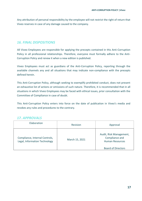Any attribution of personal responsibility by the employee will not restrict the right of return that Viveo reserves in case of any damage caused to the company.

# <span id="page-17-0"></span>*16. FINAL DISPOSITIONS*

All Viveo Employees are responsible for applying the precepts contained in this Anti-Corruption Policy in all professional relationships. Therefore, everyone must formally adhere to the Anti-Corruption Policy and renew it when a new edition is published.

Viveo Employees must act as guardians of the Anti-Corruption Policy, reporting through the available channels any and all situations that may indicate non-compliance with the precepts defined herein.

This Anti-Corruption Policy, although seeking to exemplify prohibited conduct, does not present an exhaustive list of actions or omissions of such nature. Therefore, it is recommended that in all situations in which Viveo Employees may be faced with ethical issues, prior consultation with the Committee of Compliance in case of doubt.

This Anti-Corruption Policy enters into force on the date of publication in Viveo's media and revokes any rules and procedures to the contrary.

# <span id="page-17-1"></span>*17. APPROVALS*

| Elaboration                                                     | Revision       | Approval                                                                                         |
|-----------------------------------------------------------------|----------------|--------------------------------------------------------------------------------------------------|
| Compliance, Internal Controls,<br>Legal, Information Technology | March 15, 2021 | Audit, Risk Management,<br>Compliance and<br><b>Human Resources</b><br><b>Board of Directors</b> |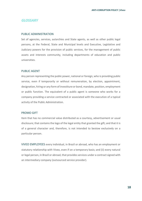#### *GLOSSARY*

#### PUBLIC ADMINISTRATION

Set of agencies, services, autarchies and State agents, as well as other public legal persons, at the Federal, State and Municipal levels and Executive, Legislative and Judiciary powers for the provision of public services, for the management of public assets and interests community, including departments of education and public universities.

#### PUBLIC AGENT

Any person representing the public power, national or foreign, who is providing public service, even if temporarily or without remuneration, by election, appointment, designation, hiring or any form of investiture or bond, mandate, position, employment or public function. The equivalent of a public agent is someone who works for a company providing a service contracted or associated with the execution of a typical activity of the Public Administration.

#### PROMO GIFT

Item that has no commercial value distributed as a courtesy, advertisement or usual disclosure; that contains the logo of the legal entity that granted the gift; and that it is of a general character and, therefore, is not intended to bestow exclusively on a particular person.

VIVEO EMPLOYEES every individual, in Brazil or abroad, who has an employment or statutory relationship with Viveo, even if on a temporary basis; and (ii) every natural or legal person, in Brazil or abroad, that provides services under a contract signed with an intermediary company (outsourced service provider).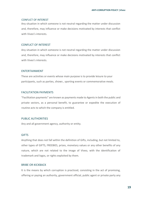#### CONFLICT OF INTEREST

Any situation in which someone is not neutral regarding the matter under discussion and, therefore, may influence or make decisions motivated by interests that conflict with Viveo's interests.

#### CONFLICT OF INTEREST

Any situation in which someone is not neutral regarding the matter under discussion and, therefore, may influence or make decisions motivated by interests that conflict with Viveo's interests.

#### ENTERTAINMENT

These are activities or events whose main purpose is to provide leisure to your participants, such as parties, shows , sporting events or commemorative meals.

#### FACILITATION PAYMENTS

"Facilitation payments" are known as payments made to Agents in both the public and private sectors, as a personal benefit, to guarantee or expedite the execution of routine acts to which the company is entitled.

#### PUBLIC AUTHORITIES

Any and all government agency, authority or entity.

#### **GIFTS**

Anything that does not fall within the definition of Gifts, including, but not limited to, other types of GIFTS, FREEBIES, prizes, monetary values or any other benefits of any nature, which are not related to the image of VIveo, with the identification of trademark and logos, or rights exploited by them.

#### BRIBE OR KICKBACK

It is the means by which corruption is practiced, consisting in the act of promising, offering or paying an authority, government official, public agent or private party any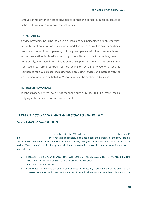amount of money or any other advantages so that the person in question ceases to behave ethically with your professional duties.

#### THIRD PARTIES

Service providers, including individuals or legal entities, personified or not, regardless of the form of organization or corporate model adopted, as well as any foundations, associations of entities or persons, or foreign companies, with headquarters, branch or representation in Brazilian territory , constituted in fact or in law, even if temporarily, contracted or subcontractors, suppliers in general and consultants contracted by formal contract, or not, acting on behalf of Viveo or associated companies for any purpose, including those providing services and interact with the government or others on behalf of Viveo to pursue the contracted business.

#### IMPROPER ADVANTAGE

It consists of any benefit, even if not economic, such as GIFTS, FREEBIES, travel, meals, lodging, entertainment and work opportunities.

# *TERM OF ACCEPTANCE AND ADHESION TO THE POLICY VIVEO ANTI-CORRUPTION*

, enrolled with the CPF under no. The contract of the series of ID no.  $\blacksquare$  The undersigned declares, in this act, under the penalties of the Law, that it is aware, knows and understands the terms of Law no. 12,846/2013 (Anti-Corruption Law) and all its effects, as well as Viveo's Anti-Corruption Policy, and which must observe its content in the exercise of its function, in particular that:

- a) IS SUBJECT TO DISCIPLINARY SANCTIONS, WITHOUT LIMITING CIVIL, ADMINISTRATIVE AND CRIMINAL SANCTIONS FOR BREACH OF THE CODE OF CONDUCT AND POLICY VIVEO'S ANTI-CORRUPTION;
- b) It will conduct its commercial and functional practices, especially those inherent to the object of the contracts maintained with Viveo for its function, in an ethical manner and in full compliance with the